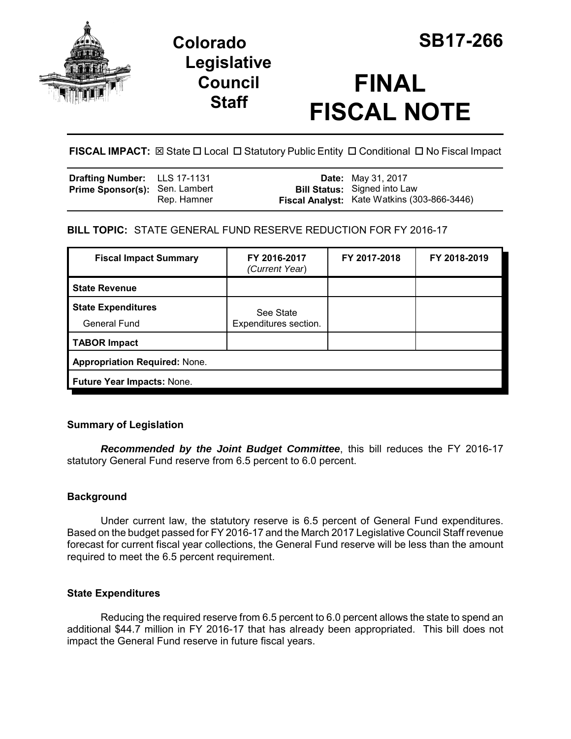

# **Colorado SB17-266 Legislative Council Staff**

# **FINAL FISCAL NOTE**

**FISCAL IMPACT:** ⊠ State □ Local □ Statutory Public Entity □ Conditional □ No Fiscal Impact

| Drafting Number: LLS 17-1131          |             | <b>Date:</b> May 31, 2017                                                          |
|---------------------------------------|-------------|------------------------------------------------------------------------------------|
| <b>Prime Sponsor(s): Sen. Lambert</b> | Rep. Hamner | <b>Bill Status:</b> Signed into Law<br>Fiscal Analyst: Kate Watkins (303-866-3446) |
|                                       |             |                                                                                    |

## **BILL TOPIC:** STATE GENERAL FUND RESERVE REDUCTION FOR FY 2016-17

| <b>Fiscal Impact Summary</b>                     | FY 2016-2017<br>(Current Year)     | FY 2017-2018 | FY 2018-2019 |  |  |
|--------------------------------------------------|------------------------------------|--------------|--------------|--|--|
| <b>State Revenue</b>                             |                                    |              |              |  |  |
| <b>State Expenditures</b><br><b>General Fund</b> | See State<br>Expenditures section. |              |              |  |  |
| <b>TABOR Impact</b>                              |                                    |              |              |  |  |
| <b>Appropriation Required: None.</b>             |                                    |              |              |  |  |
| Future Year Impacts: None.                       |                                    |              |              |  |  |

### **Summary of Legislation**

*Recommended by the Joint Budget Committee*, this bill reduces the FY 2016-17 statutory General Fund reserve from 6.5 percent to 6.0 percent.

### **Background**

Under current law, the statutory reserve is 6.5 percent of General Fund expenditures. Based on the budget passed for FY 2016-17 and the March 2017 Legislative Council Staff revenue forecast for current fiscal year collections, the General Fund reserve will be less than the amount required to meet the 6.5 percent requirement.

### **State Expenditures**

Reducing the required reserve from 6.5 percent to 6.0 percent allows the state to spend an additional \$44.7 million in FY 2016-17 that has already been appropriated. This bill does not impact the General Fund reserve in future fiscal years.